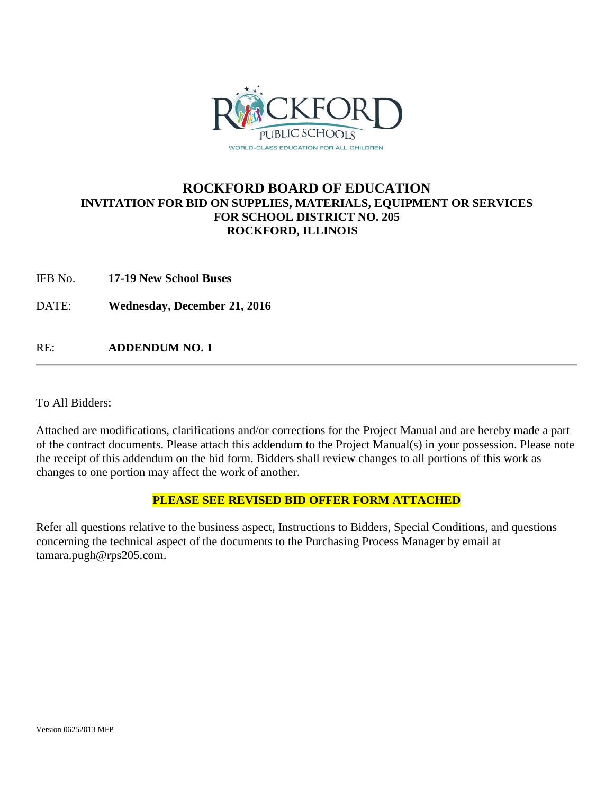

# **ROCKFORD BOARD OF EDUCATION INVITATION FOR BID ON SUPPLIES, MATERIALS, EQUIPMENT OR SERVICES FOR SCHOOL DISTRICT NO. 205 ROCKFORD, ILLINOIS**

IFB No. **17-19 New School Buses**

DATE: **Wednesday, December 21, 2016**

RE: **ADDENDUM NO. 1**

To All Bidders:

Attached are modifications, clarifications and/or corrections for the Project Manual and are hereby made a part of the contract documents. Please attach this addendum to the Project Manual(s) in your possession. Please note the receipt of this addendum on the bid form. Bidders shall review changes to all portions of this work as changes to one portion may affect the work of another.

## **PLEASE SEE REVISED BID OFFER FORM ATTACHED**

Refer all questions relative to the business aspect, Instructions to Bidders, Special Conditions, and questions concerning the technical aspect of the documents to the Purchasing Process Manager by email at tamara.pugh@rps205.com.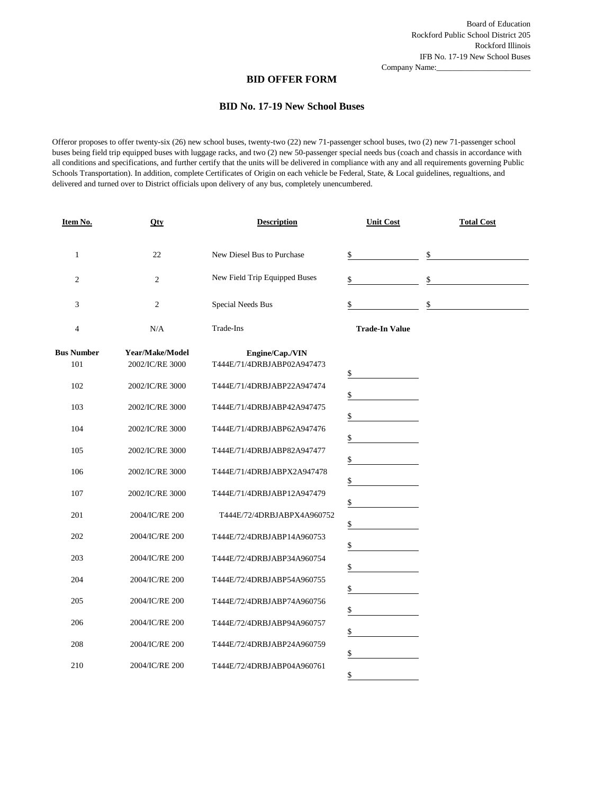Company Name:

#### **BID OFFER FORM**

#### **BID No. 17-19 New School Buses**

Offeror proposes to offer twenty-six (26) new school buses, twenty-two (22) new 71-passenger school buses, two (2) new 71-passenger school buses being field trip equipped buses with luggage racks, and two (2) new 50-passenger special needs bus (coach and chassis in accordance with all conditions and specifications, and further certify that the units will be delivered in compliance with any and all requirements governing Public Schools Transportation). In addition, complete Certificates of Origin on each vehicle be Federal, State, & Local guidelines, regualtions, and delivered and turned over to District officials upon delivery of any bus, completely unencumbered.

| Item No.                 | Qty                                | <b>Description</b>                                       | <b>Unit Cost</b>      | <b>Total Cost</b> |
|--------------------------|------------------------------------|----------------------------------------------------------|-----------------------|-------------------|
| $\mathbf{1}$             | 22                                 | New Diesel Bus to Purchase                               | \$                    | \$                |
| $\overline{c}$           | 2                                  | New Field Trip Equipped Buses                            | \$                    | \$                |
| 3                        | $\mathfrak{2}$                     | <b>Special Needs Bus</b>                                 | \$                    | \$                |
| 4                        | N/A                                | Trade-Ins                                                | <b>Trade-In Value</b> |                   |
| <b>Bus Number</b><br>101 | Year/Make/Model<br>2002/IC/RE 3000 | Engine/Cap./VIN<br>T444E/71/4DRBJABP02A947473            | \$                    |                   |
| 102                      | 2002/IC/RE 3000                    | T444E/71/4DRBJABP22A947474                               | \$                    |                   |
| 103                      | 2002/IC/RE 3000                    | T444E/71/4DRBJABP42A947475                               | \$                    |                   |
| 104                      | 2002/IC/RE 3000                    | T444E/71/4DRBJABP62A947476                               | \$                    |                   |
| 105                      | 2002/IC/RE 3000                    | T444E/71/4DRBJABP82A947477                               | \$                    |                   |
| 106                      | 2002/IC/RE 3000                    | T444E/71/4DRBJABPX2A947478                               | \$                    |                   |
| 107<br>201               | 2002/IC/RE 3000<br>2004/IC/RE 200  | T444E/71/4DRBJABP12A947479<br>T444E/72/4DRBJABPX4A960752 | \$                    |                   |
| 202                      | 2004/IC/RE 200                     | T444E/72/4DRBJABP14A960753                               | \$                    |                   |
| 203                      | 2004/IC/RE 200                     | T444E/72/4DRBJABP34A960754                               | \$                    |                   |
| 204                      | 2004/IC/RE 200                     | T444E/72/4DRBJABP54A960755                               | \$                    |                   |
| 205                      | 2004/IC/RE 200                     | T444E/72/4DRBJABP74A960756                               | \$                    |                   |
| 206                      | 2004/IC/RE 200                     | T444E/72/4DRBJABP94A960757                               | \$<br>\$              |                   |
| 208                      | 2004/IC/RE 200                     | T444E/72/4DRBJABP24A960759                               | \$                    |                   |
| 210                      | 2004/IC/RE 200                     | T444E/72/4DRBJABP04A960761                               | \$                    |                   |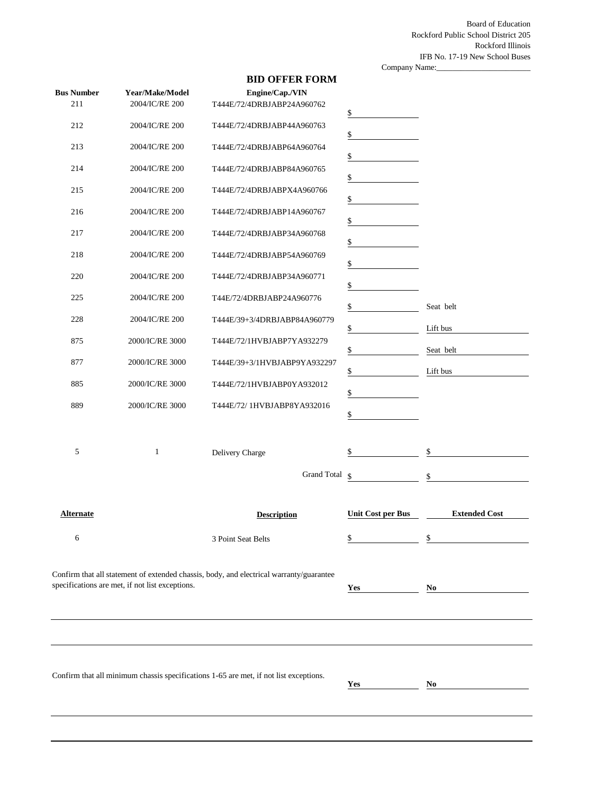Board of Education Rockford Public School District 205 Rockford Illinois IFB No. 17-19 New School Buses

Company Name:\_\_\_\_\_\_\_\_\_\_\_\_\_\_\_\_\_\_\_\_\_\_\_

## **BID OFFER FORM**

| <b>Bus Number</b> | Year/Make/Model                                 | Engine/Cap./VIN                                                                         |                          |                      |
|-------------------|-------------------------------------------------|-----------------------------------------------------------------------------------------|--------------------------|----------------------|
| 211               | 2004/IC/RE 200                                  | T444E/72/4DRBJABP24A960762                                                              | $\frac{1}{2}$            |                      |
| 212               | 2004/IC/RE 200                                  | T444E/72/4DRBJABP44A960763                                                              | \$                       |                      |
| 213               | 2004/IC/RE 200                                  | T444E/72/4DRBJABP64A960764                                                              | \$                       |                      |
| 214               | 2004/IC/RE 200                                  | T444E/72/4DRBJABP84A960765                                                              | \$                       |                      |
| 215               | 2004/IC/RE 200                                  | T444E/72/4DRBJABPX4A960766                                                              | \$                       |                      |
| 216               | 2004/IC/RE 200                                  | T444E/72/4DRBJABP14A960767                                                              | \$                       |                      |
| 217               | 2004/IC/RE 200                                  | T444E/72/4DRBJABP34A960768                                                              | \$                       |                      |
| 218               | 2004/IC/RE 200                                  | T444E/72/4DRBJABP54A960769                                                              | \$                       |                      |
| 220               | 2004/IC/RE 200                                  | T444E/72/4DRBJABP34A960771                                                              | \$                       |                      |
| 225               | 2004/IC/RE 200                                  | T44E/72/4DRBJABP24A960776                                                               | \$                       | Seat belt            |
| 228               | 2004/IC/RE 200                                  | T444E/39+3/4DRBJABP84A960779                                                            | $\frac{1}{2}$            | Lift bus             |
| 875               | 2000/IC/RE 3000                                 | T444E/72/1HVBJABP7YA932279                                                              | \$                       | Seat belt            |
| 877               | 2000/IC/RE 3000                                 | T444E/39+3/1HVBJABP9YA932297                                                            | \$                       | Lift bus             |
| 885               | 2000/IC/RE 3000                                 | T444E/72/1HVBJABP0YA932012                                                              | \$                       |                      |
| 889               | 2000/IC/RE 3000                                 | T444E/72/ 1HVBJABP8YA932016                                                             | \$                       |                      |
|                   |                                                 |                                                                                         |                          |                      |
| 5                 | 1                                               | Delivery Charge                                                                         | \$                       | \$                   |
|                   |                                                 | <b>Grand Total</b>                                                                      | $\mathsf{\$}$            | \$                   |
| <b>Alternate</b>  |                                                 | <b>Description</b>                                                                      | <b>Unit Cost per Bus</b> | <b>Extended Cost</b> |
| 6                 |                                                 | 3 Point Seat Belts                                                                      | $\triangle$<br>Ф         | \$                   |
|                   |                                                 |                                                                                         |                          |                      |
|                   |                                                 | Confirm that all statement of extended chassis, body, and electrical warranty/guarantee |                          |                      |
|                   | specifications are met, if not list exceptions. |                                                                                         |                          | N <sub>0</sub>       |
|                   |                                                 |                                                                                         |                          |                      |
|                   |                                                 |                                                                                         |                          |                      |
|                   |                                                 |                                                                                         |                          |                      |
|                   |                                                 | Confirm that all minimum chassis specifications 1-65 are met, if not list exceptions.   | Yes                      | No                   |
|                   |                                                 |                                                                                         |                          |                      |